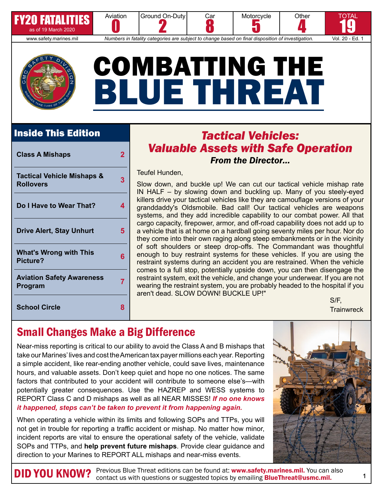

FY20 FATALITIES

www.safety.marines.mil *Numbers in fatality categories are subject to change based on final disposition of investigation.* Vol. 20 - Ed. 1



Aviation

# COMBATTING THE BLUE THREAT

Car

### Inside This Edition

| <b>Class A Mishaps</b>                                    | 2 |
|-----------------------------------------------------------|---|
| <b>Tactical Vehicle Mishaps &amp;</b><br><b>Rollovers</b> | 3 |
| Do I Have to Wear That?                                   | 4 |
| <b>Drive Alert, Stay Unhurt</b>                           | 5 |
| <b>What's Wrong with This</b><br>Picture?                 | 6 |
| <b>Aviation Safety Awareness</b><br>Program               | 7 |
| <b>School Circle</b>                                      | 8 |

### *Tactical Vehicles: Valuable Assets with Safe Operation From the Director…*

**Motorcycle** 5

**Other** 

TOTAL 19

4

Teufel Hunden,

**Ground On-Duty** 

2

Slow down, and buckle up! We can cut our tactical vehicle mishap rate IN HALF – by slowing down and buckling up. Many of you steely-eyed killers drive your tactical vehicles like they are camouflage versions of your granddaddy's Oldsmobile. Bad call! Our tactical vehicles are weapons systems, and they add incredible capability to our combat power. All that cargo capacity, firepower, armor, and off-road capability does not add up to a vehicle that is at home on a hardball going seventy miles per hour. Nor do they come into their own raging along steep embankments or in the vicinity of soft shoulders or steep drop-offs. The Commandant was thoughtful enough to buy restraint systems for these vehicles. If you are using the restraint systems during an accident you are restrained. When the vehicle comes to a full stop, potentially upside down, you can then disengage the restraint system, exit the vehicle, and change your underwear. If you are not wearing the restraint system, you are probably headed to the hospital if you aren't dead. SLOW DOWN! BUCKLE UP!"

S/F, **Trainwreck** 

## Small Changes Make a Big Difference

Near-miss reporting is critical to our ability to avoid the Class A and B mishaps that take our Marines' lives and cost the American tax payer millions each year. Reporting a simple accident, like rear-ending another vehicle, could save lives, maintenance hours, and valuable assets. Don't keep quiet and hope no one notices. The same factors that contributed to your accident will contribute to someone else's—with potentially greater consequences. Use the HAZREP and WESS systems to REPORT Class C and D mishaps as well as all NEAR MISSES! *If no one knows it happened, steps can't be taken to prevent it from happening again.* 

When operating a vehicle within its limits and following SOPs and TTPs, you will not get in trouble for reporting a traffic accident or mishap. No matter how minor, incident reports are vital to ensure the operational safety of the vehicle, validate SOPs and TTPs, and **help prevent future mishaps**. Provide clear guidance and direction to your Marines to REPORT ALL mishaps and near-miss events.



DID YOU KNOW? Previous Blue Threat editions can be found at: [www.safety.marines.mil.](http://www.safety.marines.mil) You can also<br>
Contact us with questions or suggested topics by emailing [BlueThreat@usmc.mil.](mailto:BlueThreat%40usmc.mil?subject=)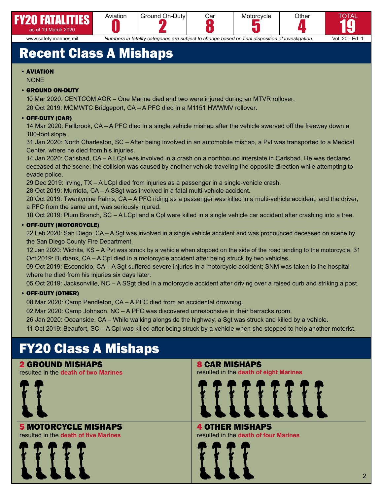







5 www.safety.marines.mil *Numbers in fatality categories are subject to change based on final disposition of investigation.* Vol. 20 - Ed. 1

## Recent Class A Mishaps

#### • AVIATION

#### **NONE**

#### • GROUND ON-DUTY

10 Mar 2020: CENTCOM AOR – One Marine died and two were injured during an MTVR rollover. 20 Oct 2019: MCMWTC Bridgeport, CA – A PFC died in a M1151 HWWMV rollover.

#### • OFF-DUTY (CAR)

14 Mar 2020: Fallbrook, CA – A PFC died in a single vehicle mishap after the vehicle swerved off the freeway down a 100-foot slope.

31 Jan 2020: North Charleston, SC – After being involved in an automobile mishap, a Pvt was transported to a Medical Center, where he died from his injuries.

14 Jan 2020: Carlsbad, CA – A LCpl was involved in a crash on a northbound interstate in Carlsbad. He was declared deceased at the scene; the collision was caused by another vehicle traveling the opposite direction while attempting to evade police.

29 Dec 2019: Irving, TX – A LCpl died from injuries as a passenger in a single-vehicle crash.

28 Oct 2019: Murrieta, CA – A SSgt was involved in a fatal multi-vehicle accident.

20 Oct 2019: Twentynine Palms, CA – A PFC riding as a passenger was killed in a multi-vehicle accident, and the driver, a PFC from the same unit, was seriously injured.

10 Oct 2019: Plum Branch, SC – A LCpl and a Cpl were killed in a single vehicle car accident after crashing into a tree.

#### • OFF-DUTY (MOTORCYCLE)

22 Feb 2020: San Diego, CA – A Sgt was involved in a single vehicle accident and was pronounced deceased on scene by the San Diego County Fire Department.

12 Jan 2020: Wichita, KS – A Pvt was struck by a vehicle when stopped on the side of the road tending to the motorcycle. 31 Oct 2019: Burbank, CA – A Cpl died in a motorcycle accident after being struck by two vehicles.

09 Oct 2019: Escondido, CA – A Sgt suffered severe injuries in a motorcycle accident; SNM was taken to the hospital where he died from his injuries six days later.

05 Oct 2019: Jacksonville, NC – A SSgt died in a motorcycle accident after driving over a raised curb and striking a post.

#### • OFF-DUTY (OTHER)

08 Mar 2020: Camp Pendleton, CA – A PFC died from an accidental drowning.

02 Mar 2020: Camp Johnson, NC – A PFC was discovered unresponsive in their barracks room.

26 Jan 2020: Oceanside, CA – While walking alongside the highway, a Sgt was struck and killed by a vehicle.

11 Oct 2019: Beaufort, SC – A Cpl was killed after being struck by a vehicle when she stopped to help another motorist.

## FY20 Class A Mishaps

#### 2 GROUND MISHAPS

resulted in the **death of two Marines**



#### 5 MOTORCYCLE MISHAPS resulted in the **death of five Marines**



8 CAR MISHAPS resulted in the **death of eight Marines**



4 OTHER MISHAPS resulted in the **death of four Marines**

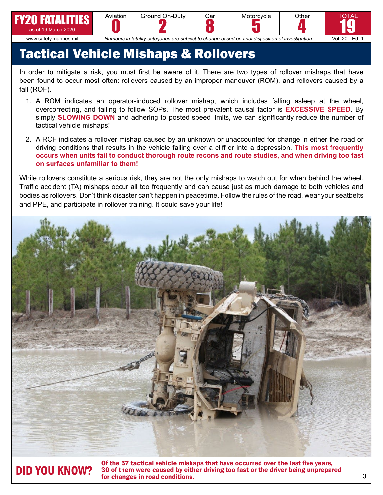









www.safety.marines.mil *Numbers in fatality categories are subject to change based on final disposition of investigation.* Vol. 20 - Ed. 1

Car

## Tactical Vehicle Mishaps & Rollovers

In order to mitigate a risk, you must first be aware of it. There are two types of rollover mishaps that have been found to occur most often: rollovers caused by an improper maneuver (ROM), and rollovers caused by a fall (ROF).

- 1. A ROM indicates an operator-induced rollover mishap, which includes falling asleep at the wheel, overcorrecting, and failing to follow SOPs. The most prevalent causal factor is **EXCESSIVE SPEED**. By simply **SLOWING DOWN** and adhering to posted speed limits, we can significantly reduce the number of tactical vehicle mishaps!
- 2. A ROF indicates a rollover mishap caused by an unknown or unaccounted for change in either the road or driving conditions that results in the vehicle falling over a cliff or into a depression. **This most frequently occurs when units fail to conduct thorough route recons and route studies, and when driving too fast on surfaces unfamiliar to them!**

While rollovers constitute a serious risk, they are not the only mishaps to watch out for when behind the wheel. Traffic accident (TA) mishaps occur all too frequently and can cause just as much damage to both vehicles and bodies as rollovers. Don't think disaster can't happen in peacetime. Follow the rules of the road, wear your seatbelts and PPE, and participate in rollover training. It could save your life!



Of the 57 tactical vehicle mishaps that have occurred over the last five years, 30 of them were caused by either driving too fast or the driver being unprepared **DID YOU KNOW?** 30 of them were caused by eith<br>for changes in road conditions.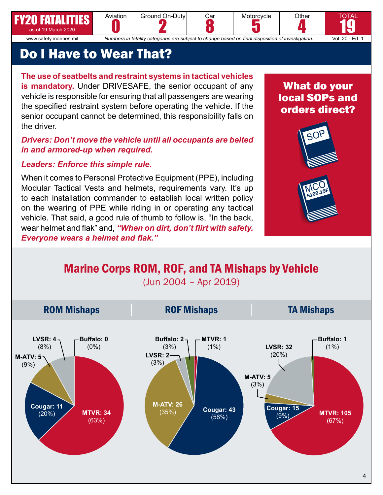## Do I Have to Wear That?

Aviation

FY20 FATALITIES as of 19 March 2020

**The use of seatbelts and restraint systems in tactical vehicles is mandatory.** Under DRIVESAFE, the senior occupant of any vehicle is responsible for ensuring that all passengers are wearing the specified restraint system before operating the vehicle. If the senior occupant cannot be determined, this responsibility falls on the driver.

#### *Drivers: Don't move the vehicle until all occupants are belted in and armored-up when required.*

#### *Leaders: Enforce this simple rule.*

When it comes to Personal Protective Equipment (PPE), including Modular Tactical Vests and helmets, requirements vary. It's up to each installation commander to establish local written policy on the wearing of PPE while riding in or operating any tactical vehicle. That said, a good rule of thumb to follow is, "In the back, wear helmet and flak" and, *"When on dirt, don't flirt with safety. Everyone wears a helmet and flak."*

## What do your local SOPs and orders direct?

**Other** 

SOI

MCO<br>5100.19F



**2 U FATALLITED CONSERVERT AND SUBSET ON A SUBSET AND SERVERT AND SUBSET AND SUBSET AND A SUBSET AND SUBSET AND A SUBSET AND A SUBSET AND A SUBSET AND A SUBSET AND A SUBSET AND A SUBSET AND A SUBSET AND A SUBSET AND A SUBS** 

Car

**Motorcycle** 

**Ground On-Duty**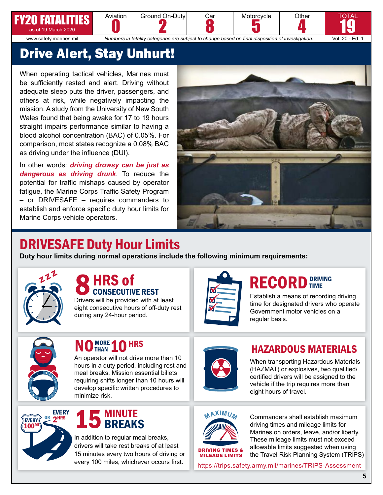## 20 FATALI



2 5 4 www.safety.marines.mil *Numbers in fatality categories are subject to change based on final disposition of investigation.* Vol. 20 - Ed. 1

Car

**Ground On-Duty** 

19

TOTAL

## Drive Alert, Stay Unhurt!

Aviation

When operating tactical vehicles, Marines must be sufficiently rested and alert. Driving without adequate sleep puts the driver, passengers, and others at risk, while negatively impacting the mission. A study from the University of New South Wales found that being awake for 17 to 19 hours straight impairs performance similar to having a blood alcohol concentration (BAC) of 0.05%. For comparison, most states recognize a 0.08% BAC as driving under the influence (DUI).

In other words: *driving drowsy can be just as dangerous as driving drunk*. To reduce the potential for traffic mishaps caused by operator fatigue, the Marine Corps Traffic Safety Program – or DRIVESAFE – requires commanders to establish and enforce specific duty hour limits for Marine Corps vehicle operators.



**Motorcycle** 

**Other** 

## DRIVESAFE Duty Hour Limits

**Duty hour limits during normal operations include the following minimum requirements:**



### CONSECUTIVE REST **HRS of**

Drivers will be provided with at least eight consecutive hours of off-duty rest during any 24-hour period.



## RECORD **DRIVING**

Establish a means of recording driving time for designated drivers who operate Government motor vehicles on a regular basis.



## NO THAN 10 HRS

An operator will not drive more than 10 hours in a duty period, including rest and meal breaks. Mission essential billets requiring shifts longer than 10 hours will develop specific written procedures to minimize risk.



### HAZARDOUS MATERIALS

When transporting Hazardous Materials (HAZMAT) or explosives, two qualified/ certified drivers will be assigned to the vehicle if the trip requires more than eight hours of travel.





In addition to regular meal breaks, drivers will take rest breaks of at least 15 minutes every two hours of driving or every 100 miles, whichever occurs first.



DRIVING TIMES & MILEAGE LIMITS

Commanders shall establish maximum driving times and mileage limits for Marines on orders, leave, and/or liberty. These mileage limits must not exceed allowable limits suggested when using the Travel Risk Planning System (TRiPS)

<https://trips.safety.army.mil/marines/TRiPS-Assessment>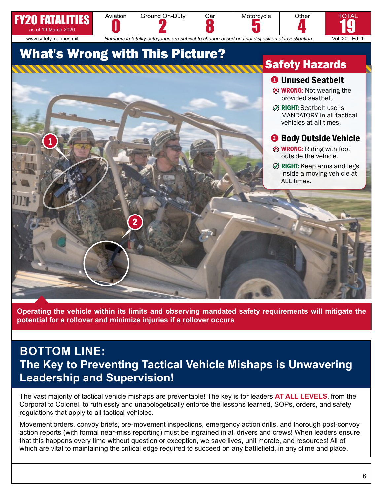

**Operating the vehicle within its limits and observing mandated safety requirements will mitigate the potential for a rollover and minimize injuries if a rollover occurs**

## **BOTTOM LINE: The Key to Preventing Tactical Vehicle Mishaps is Unwavering Leadership and Supervision!**

The vast majority of tactical vehicle mishaps are preventable! The key is for leaders **AT ALL LEVELS**, from the Corporal to Colonel, to ruthlessly and unapologetically enforce the lessons learned, SOPs, orders, and safety regulations that apply to all tactical vehicles.

Movement orders, convoy briefs, pre-movement inspections, emergency action drills, and thorough post-convoy action reports (with formal near-miss reporting) must be ingrained in all drivers and crews! When leaders ensure that this happens every time without question or exception, we save lives, unit morale, and resources! All of which are vital to maintaining the critical edge required to succeed on any battlefield, in any clime and place.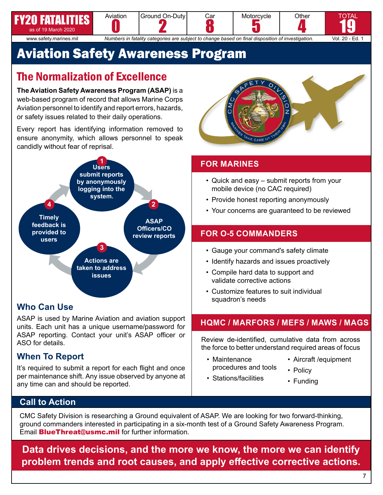#### **20 FATALIT** as of 19 March 2020 Aviation **Ground On-Duty** 2 Car **Motorcycle** 5 **Other** 4 www.safety.marines.mil *Numbers in fatality categories are subject to change based on final disposition of investigation.* Vol. 20 - Ed. 1



TOTAL

## Aviation Safety Awareness Program

## The Normalization of Excellence

**The Aviation Safety Awareness Program (ASAP)** is a web-based program of record that allows Marine Corps Aviation personnel to identify and report errors, hazards, or safety issues related to their daily operations.

Every report has identifying information removed to ensure anonymity, which allows personnel to speak candidly without fear of reprisal.



### **Who Can Use**

ASAP is used by Marine Aviation and aviation support units. Each unit has a unique username/password for ASAP reporting. Contact your unit's ASAP officer or ASO for details.

### **When To Report**

It's required to submit a report for each flight and once per maintenance shift. Any issue observed by anyone at any time can and should be reported.



### **FOR MARINES**

- Quick and easy submit reports from your mobile device (no CAC required)
- Provide honest reporting anonymously
- Your concerns are guaranteed to be reviewed

### **FOR O-5 COMMANDERS**

- Gauge your command's safety climate
- Identify hazards and issues proactively
- Compile hard data to support and validate corrective actions
- Customize features to suit individual squadron's needs

### **HQMC / MARFORS / MEFS / MAWS / MAGS**

Review de-identified, cumulative data from across the force to better understand required areas of focus

- Maintenance procedures and tools
- Aircraft /equipment
- 
- Stations/facilities
- Policy
- Funding

### **Call to Action**

CMC Safety Division is researching a Ground equivalent of ASAP. We are looking for two forward-thinking, ground commanders interested in participating in a six-month test of a Ground Safety Awareness Program. Email **[BlueThreat@usmc.mil](mailto:bluethreat%40usmc.mil?subject=)** for further information.

**Data drives decisions, and the more we know, the more we can identify problem trends and root causes, and apply effective corrective actions.**